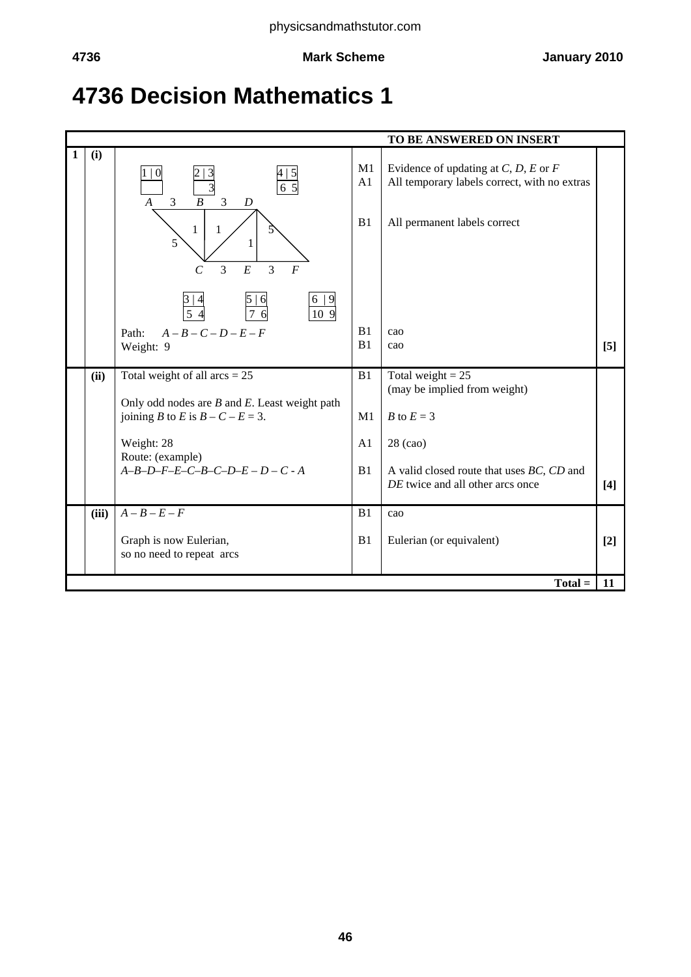# **4736 Decision Mathematics 1**

|   | TO BE ANSWERED ON INSERT |                                                                                                                                             |                |                                                                                                                          |       |  |
|---|--------------------------|---------------------------------------------------------------------------------------------------------------------------------------------|----------------|--------------------------------------------------------------------------------------------------------------------------|-------|--|
| 1 | (i)                      | $\Omega$<br>$6\overline{5}$<br>$\boldsymbol{B}$<br>$\overline{A}$<br>3<br>3<br>D<br>$\mathbf{1}$<br>$\mathbf{1}$<br>5<br>$\mathbf{1}$       | M1<br>A1<br>B1 | Evidence of updating at $C, D, E$ or $F$<br>All temporary labels correct, with no extras<br>All permanent labels correct |       |  |
|   |                          | E<br>$\overline{3}$<br>$\overline{3}$<br>$\overline{F}$<br>$\mathcal{C}_{0}^{0}$<br>6 9<br>109<br>54<br>$A-B-C-D-E-F$<br>Path:<br>Weight: 9 | B1<br>B1       | cao<br>cao                                                                                                               | [5]   |  |
|   |                          |                                                                                                                                             |                |                                                                                                                          |       |  |
|   | (ii)                     | Total weight of all $arcs = 25$<br>Only odd nodes are $B$ and $E$ . Least weight path                                                       | B1             | Total weight = $25$<br>(may be implied from weight)                                                                      |       |  |
|   |                          | joining B to E is $B - C - E = 3$ .                                                                                                         | M <sub>1</sub> | <i>B</i> to $E = 3$                                                                                                      |       |  |
|   |                          | Weight: 28<br>Route: (example)                                                                                                              | A1             | 28 (cao)                                                                                                                 |       |  |
|   |                          | $A-B-D-F-E-C-B-C-D-E-D-C-A$                                                                                                                 | B <sub>1</sub> | A valid closed route that uses BC, CD and<br>DE twice and all other arcs once                                            | $[4]$ |  |
|   | (iii)                    | $A - B - E - F$                                                                                                                             | B1             | cao                                                                                                                      |       |  |
|   |                          | Graph is now Eulerian,<br>so no need to repeat arcs                                                                                         | B1             | Eulerian (or equivalent)                                                                                                 | $[2]$ |  |
|   |                          |                                                                                                                                             |                | $Total =$                                                                                                                | 11    |  |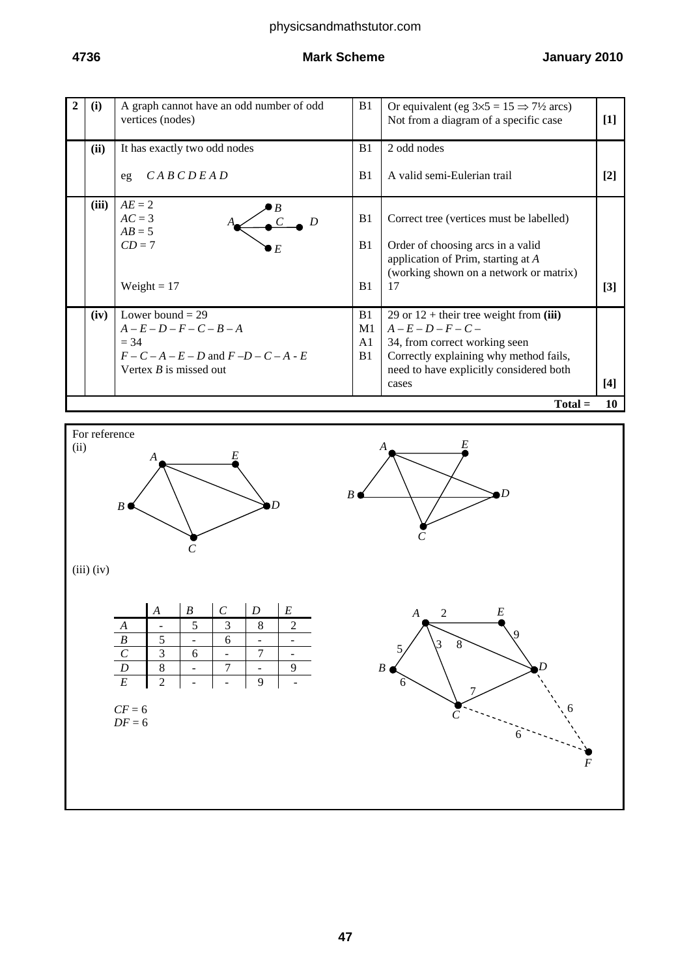### **4736 Mark Scheme January 2010**

| $\mathbf{2}$ | (i)             | A graph cannot have an odd number of odd<br>vertices (nodes)                                                                           | B <sub>1</sub>                                           | Or equivalent (eg $3\times 5 = 15 \implies 7\frac{1}{2}$ arcs)<br>Not from a diagram of a specific case                                                                                           | $[1]$ |  |  |
|--------------|-----------------|----------------------------------------------------------------------------------------------------------------------------------------|----------------------------------------------------------|---------------------------------------------------------------------------------------------------------------------------------------------------------------------------------------------------|-------|--|--|
|              | (ii)            | It has exactly two odd nodes                                                                                                           | B1                                                       | 2 odd nodes                                                                                                                                                                                       |       |  |  |
|              |                 | CABCDEAD<br>eg                                                                                                                         | B1                                                       | A valid semi-Eulerian trail                                                                                                                                                                       | $[2]$ |  |  |
|              | (iii)           | $AE = 2$<br>$AC = 3$<br>$AB = 5$<br>$CD = 7$<br>$\blacktriangleright$ $E$<br>Weight = $17$                                             | B <sub>1</sub><br>B <sub>1</sub><br>B <sub>1</sub>       | Correct tree (vertices must be labelled)<br>Order of choosing arcs in a valid<br>application of Prim, starting at $A$<br>(working shown on a network or matrix)<br>17                             | $[3]$ |  |  |
|              | (iv)            | Lower bound $= 29$<br>$A - E - D - F - C - B - A$<br>$= 34$<br>$F - C - A - E - D$ and $F - D - C - A - E$<br>Vertex $B$ is missed out | B <sub>1</sub><br>M1<br>A <sub>1</sub><br>B <sub>1</sub> | 29 or $12$ + their tree weight from (iii)<br>$A - E - D - F - C -$<br>34, from correct working seen<br>Correctly explaining why method fails,<br>need to have explicitly considered both<br>cases | $[4]$ |  |  |
|              | 10<br>$Total =$ |                                                                                                                                        |                                                          |                                                                                                                                                                                                   |       |  |  |

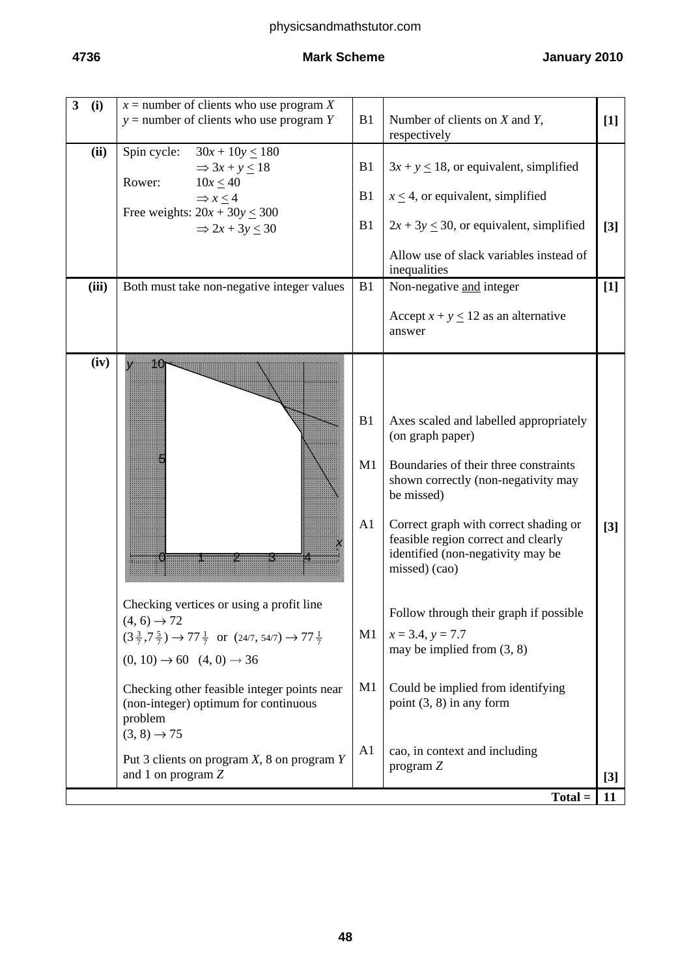| 3<br>(i)      | $x =$ number of clients who use program X<br>$y =$ number of clients who use program Y                                                                                                                                                                                                                                                                                                                                                           | B1                                                       | Number of clients on $X$ and $Y$ ,<br>respectively                                                                                                                                                                                                                                                                                                                                                                                                                                                              | $[1]$          |
|---------------|--------------------------------------------------------------------------------------------------------------------------------------------------------------------------------------------------------------------------------------------------------------------------------------------------------------------------------------------------------------------------------------------------------------------------------------------------|----------------------------------------------------------|-----------------------------------------------------------------------------------------------------------------------------------------------------------------------------------------------------------------------------------------------------------------------------------------------------------------------------------------------------------------------------------------------------------------------------------------------------------------------------------------------------------------|----------------|
| (ii)<br>(iii) | Spin cycle:<br>$30x + 10y \le 180$<br>$\Rightarrow$ 3x + y $\leq$ 18<br>Rower:<br>$10x \le 40$<br>$\Rightarrow$ x $\leq$ 4<br>Free weights: $20x + 30y \le 300$<br>$\Rightarrow$ 2x + 3y $\leq$ 30<br>Both must take non-negative integer values                                                                                                                                                                                                 | B1<br>B1<br>B1<br>B1                                     | $3x + y \le 18$ , or equivalent, simplified<br>$x \leq 4$ , or equivalent, simplified<br>$2x + 3y \le 30$ , or equivalent, simplified<br>Allow use of slack variables instead of<br>inequalities<br>Non-negative and integer<br>Accept $x + y \le 12$ as an alternative<br>answer                                                                                                                                                                                                                               | $[3]$<br>$[1]$ |
| (iv)          | 10<br>V<br>Checking vertices or using a profit line<br>$(4, 6) \rightarrow 72$<br>$(3\frac{3}{7}, 7\frac{5}{7}) \rightarrow 77\frac{1}{7}$ or $(24/7, 54/7) \rightarrow 77\frac{1}{7}$<br>$(0, 10) \rightarrow 60$ $(4, 0) \rightarrow 36$<br>Checking other feasible integer points near<br>(non-integer) optimum for continuous<br>problem<br>$(3, 8) \rightarrow 75$<br>Put 3 clients on program $X$ , 8 on program $Y$<br>and 1 on program Z | B1<br>M1<br>A <sub>1</sub><br>M1<br>M1<br>A <sub>1</sub> | Axes scaled and labelled appropriately<br>(on graph paper)<br>Boundaries of their three constraints<br>shown correctly (non-negativity may<br>be missed)<br>Correct graph with correct shading or<br>feasible region correct and clearly<br>identified (non-negativity may be<br>missed) (cao)<br>Follow through their graph if possible<br>$x = 3.4, y = 7.7$<br>may be implied from $(3, 8)$<br>Could be implied from identifying<br>point $(3, 8)$ in any form<br>cao, in context and including<br>program Z | $[3]$<br>$[3]$ |
|               |                                                                                                                                                                                                                                                                                                                                                                                                                                                  |                                                          | $Total =$                                                                                                                                                                                                                                                                                                                                                                                                                                                                                                       | 11             |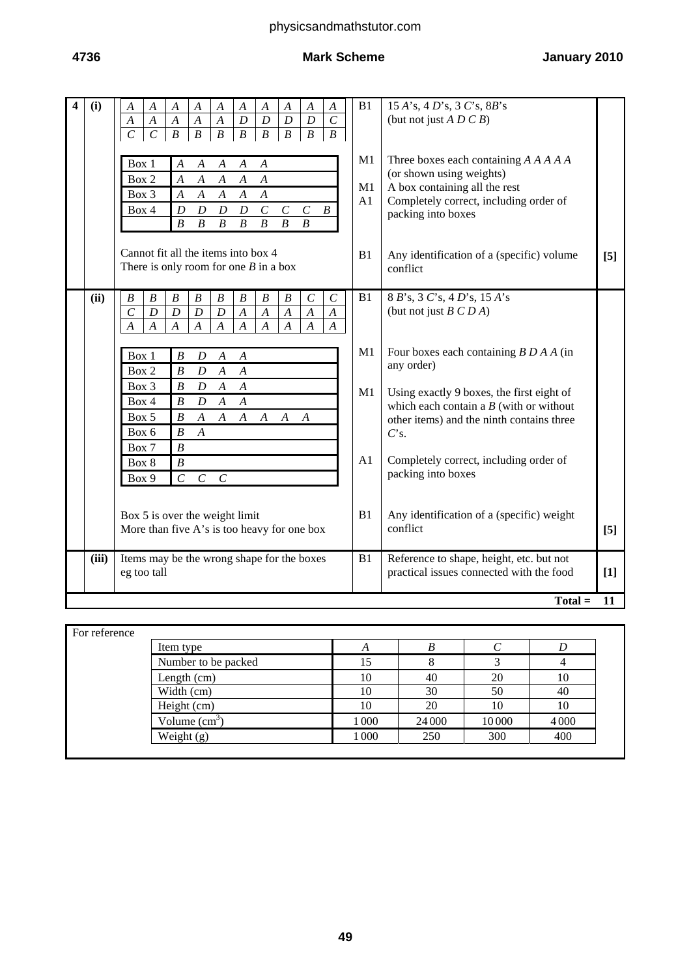| (i)<br>4 | $\boldsymbol{A}$<br>$\boldsymbol{A}$<br>$\boldsymbol{A}$<br>$\boldsymbol{A}$<br>$\boldsymbol{A}$<br>$\boldsymbol{A}$<br>$\boldsymbol{A}$<br>$\boldsymbol{A}$<br>$\boldsymbol{A}$<br>A<br>$\overline{D}$<br>$\overline{D}$<br>$\boldsymbol{D}$<br>$\mathcal{C}$<br>$\boldsymbol{A}$<br>$\boldsymbol{D}$<br>$\boldsymbol{A}$<br>$\boldsymbol{A}$<br>$\boldsymbol{A}$<br>$\boldsymbol{A}$<br>$\overline{C}$<br>$\overline{C}$<br>$\boldsymbol{B}$<br>$\overline{B}$<br>$\overline{B}$<br>$\boldsymbol{B}$<br>$\overline{B}$<br>$\overline{B}$<br>$\boldsymbol{B}$<br>$\boldsymbol{B}$<br>Box 1<br>$\boldsymbol{A}$<br>$\boldsymbol{A}$<br>$\boldsymbol{A}$<br>$\boldsymbol{A}$<br>$\boldsymbol{A}$<br>Box 2<br>$\overline{A}$<br>$\boldsymbol{A}$<br>$\boldsymbol{A}$<br>$\boldsymbol{A}$<br>$\boldsymbol{A}$<br>$\boldsymbol{A}$<br>Box 3<br>$\boldsymbol{A}$<br>$\boldsymbol{A}$<br>$\boldsymbol{A}$<br>$\boldsymbol{A}$<br>Box 4<br>$\cal C$<br>$\cal C$<br>$\boldsymbol{D}$<br>$\boldsymbol{D}$<br>$\boldsymbol{B}$<br>$\boldsymbol{D}$<br>$\boldsymbol{D}$<br>$\mathcal{C}_{0}^{0}$<br>$\boldsymbol{B}$<br>$\boldsymbol{B}$<br>$\overline{B}$<br>$\boldsymbol{B}$<br>$\boldsymbol{B}$<br>$\boldsymbol{B}$<br>$\boldsymbol{B}$<br>Cannot fit all the items into box 4<br>There is only room for one $B$ in a box                                                    | B1<br>M1<br>M1<br>A1<br>B <sub>1</sub> | 15 A's, 4 D's, 3 C's, 8 B's<br>(but not just $A \ D \ C \ B$ )<br>Three boxes each containing A A A A A<br>(or shown using weights)<br>A box containing all the rest<br>Completely correct, including order of<br>packing into boxes<br>Any identification of a (specific) volume<br>conflict                                                                                                 | [5]   |  |  |  |
|----------|----------------------------------------------------------------------------------------------------------------------------------------------------------------------------------------------------------------------------------------------------------------------------------------------------------------------------------------------------------------------------------------------------------------------------------------------------------------------------------------------------------------------------------------------------------------------------------------------------------------------------------------------------------------------------------------------------------------------------------------------------------------------------------------------------------------------------------------------------------------------------------------------------------------------------------------------------------------------------------------------------------------------------------------------------------------------------------------------------------------------------------------------------------------------------------------------------------------------------------------------------------------------------------------------------------------------------------------------------------------------|----------------------------------------|-----------------------------------------------------------------------------------------------------------------------------------------------------------------------------------------------------------------------------------------------------------------------------------------------------------------------------------------------------------------------------------------------|-------|--|--|--|
| (ii)     | $\boldsymbol{B}$<br>$\boldsymbol{B}$<br>$\boldsymbol{B}$<br>$\boldsymbol{B}$<br>$\boldsymbol{B}$<br>$\boldsymbol{B}$<br>$\boldsymbol{B}$<br>$\boldsymbol{B}$<br>$\boldsymbol{C}$<br>$\mathcal{C}$<br>$\overline{C}$<br>$\boldsymbol{D}$<br>$\boldsymbol{D}$<br>$\boldsymbol{D}$<br>$\boldsymbol{D}$<br>$\overline{A}$<br>$\overline{A}$<br>$\overline{A}$<br>$\overline{A}$<br>$\boldsymbol{A}$<br>$\overline{A}$<br>$\boldsymbol{A}$<br>$\boldsymbol{A}$<br>$\boldsymbol{A}$<br>$\boldsymbol{A}$<br>$\boldsymbol{A}$<br>$\boldsymbol{A}$<br>$\boldsymbol{A}$<br>$\boldsymbol{A}$<br>$\boldsymbol{A}$<br>Box 1<br>$\boldsymbol{B}$<br>D<br>$\boldsymbol{A}$<br>$\boldsymbol{A}$<br>$\overline{A}$<br>Box 2<br>$\boldsymbol{B}$<br>$\boldsymbol{A}$<br>$\boldsymbol{D}$<br>Box 3<br>$\boldsymbol{B}$<br>$\boldsymbol{A}$<br>D<br>$\boldsymbol{A}$<br>Box 4<br>$\boldsymbol{B}$<br>$\boldsymbol{A}$<br>$\boldsymbol{A}$<br>$\boldsymbol{D}$<br>Box 5<br>$\boldsymbol{B}$<br>$\boldsymbol{A}$<br>$\boldsymbol{A}$<br>$\boldsymbol{A}$<br>$\boldsymbol{A}$<br>$\boldsymbol{A}$<br>$\boldsymbol{A}$<br>$\boldsymbol{B}$<br>Box 6<br>$\boldsymbol{A}$<br>$\boldsymbol{B}$<br>Box 7<br>Box 8<br>$\boldsymbol{B}$<br>Box 9<br>$\mathcal{C}$<br>$\mathcal{C}_{\mathcal{C}}$<br>$\mathcal{C}$<br>Box 5 is over the weight limit<br>More than five A's is too heavy for one box | B1<br>M1<br>M1<br>A1<br>B1             | 8 B's, 3 C's, 4 D's, 15 A's<br>(but not just $B C D A$ )<br>Four boxes each containing $B D A A$ (in<br>any order)<br>Using exactly 9 boxes, the first eight of<br>which each contain a $B$ (with or without<br>other items) and the ninth contains three<br>$C$ 's.<br>Completely correct, including order of<br>packing into boxes<br>Any identification of a (specific) weight<br>conflict | [5]   |  |  |  |
| (iii)    | Items may be the wrong shape for the boxes<br>eg too tall                                                                                                                                                                                                                                                                                                                                                                                                                                                                                                                                                                                                                                                                                                                                                                                                                                                                                                                                                                                                                                                                                                                                                                                                                                                                                                            | B1                                     | Reference to shape, height, etc. but not<br>practical issues connected with the food                                                                                                                                                                                                                                                                                                          | $[1]$ |  |  |  |
|          | $Total =$<br>11                                                                                                                                                                                                                                                                                                                                                                                                                                                                                                                                                                                                                                                                                                                                                                                                                                                                                                                                                                                                                                                                                                                                                                                                                                                                                                                                                      |                                        |                                                                                                                                                                                                                                                                                                                                                                                               |       |  |  |  |

| Item type           | A       |        |       |      |
|---------------------|---------|--------|-------|------|
| Number to be packed | ι5      |        |       |      |
| Length (cm)         | 10      | 40     | 20    | 10   |
| Width (cm)          | 10      | 30     | 50    | 40   |
| Height (cm)         | 10      | 20     | 10    | 10   |
| Volume $(cm3)$      | 1 0 0 0 | 24 000 | 10000 | 4000 |
| Weight $(g)$        | 1 0 0 0 | 250    | 300   | 400  |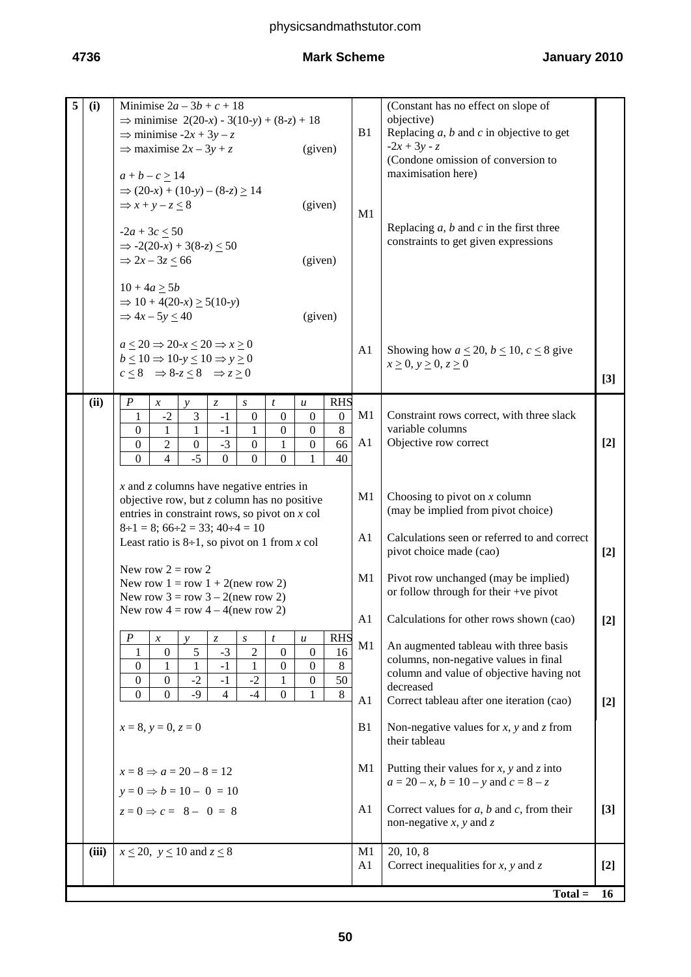| 5 | (i)   | Minimise $2a-3b+c+18$<br>$\Rightarrow$ minimise 2(20-x) - 3(10-y) + (8-z) + 18<br>$\Rightarrow$ minimise -2x + 3y - z<br>$\Rightarrow$ maximise 2x – 3y + z<br>(given)                                                                                                                                                                                                                                                                                                                                                                                                                                   | B1                   | (Constant has no effect on slope of<br>objective)<br>Replacing $a$ , $b$ and $c$ in objective to get<br>$-2x + 3y - z$<br>(Condone omission of conversion to<br>maximisation here)   |       |
|---|-------|----------------------------------------------------------------------------------------------------------------------------------------------------------------------------------------------------------------------------------------------------------------------------------------------------------------------------------------------------------------------------------------------------------------------------------------------------------------------------------------------------------------------------------------------------------------------------------------------------------|----------------------|--------------------------------------------------------------------------------------------------------------------------------------------------------------------------------------|-------|
|   |       | $a + b - c \ge 14$<br>$\Rightarrow$ (20-x) + (10-y) – (8-z) $\geq$ 14<br>(given)<br>$\Rightarrow$ x + y - z $\leq$ 8<br>$-2a + 3c \le 50$<br>$\Rightarrow$ -2(20-x) + 3(8-z) $\leq$ 50<br>$\Rightarrow$ 2x - 3z $\leq$ 66<br>(given)                                                                                                                                                                                                                                                                                                                                                                     | M1                   | Replacing $a, b$ and $c$ in the first three<br>constraints to get given expressions                                                                                                  |       |
|   |       | $10 + 4a \ge 5b$<br>$\Rightarrow$ 10 + 4(20-x) $\geq$ 5(10-y)<br>$\Rightarrow$ 4x – 5y $\leq$ 40<br>(given)<br>$a \leq 20 \Rightarrow 20-x \leq 20 \Rightarrow x \geq 0$                                                                                                                                                                                                                                                                                                                                                                                                                                 |                      |                                                                                                                                                                                      |       |
|   |       | $b \le 10 \Rightarrow 10 - y \le 10 \Rightarrow y \ge 0$<br>$c < 8 \Rightarrow 8-z < 8 \Rightarrow z > 0$                                                                                                                                                                                                                                                                                                                                                                                                                                                                                                | A <sub>1</sub>       | Showing how $a \le 20$ , $b \le 10$ , $c \le 8$ give<br>$x \geq 0$ , $y \geq 0$ , $z \geq 0$                                                                                         | $[3]$ |
|   | (ii)  | $\boldsymbol{P}$<br><b>RHS</b><br>$\ensuremath{\mathnormal{Z}}$<br>t<br>$\boldsymbol{\mathcal{X}}$<br>$\boldsymbol{S}$<br>$\boldsymbol{u}$<br>v<br>$-2$<br>$\boldsymbol{0}$<br>3<br>$\boldsymbol{0}$<br>$\boldsymbol{0}$<br>$\boldsymbol{0}$<br>1<br>$-1$<br>8<br>$\mathbf{0}$<br>$\mathbf{1}$<br>$\boldsymbol{0}$<br>1<br>$\mathbf{1}$<br>$-1$<br>$\boldsymbol{0}$<br>$\sqrt{2}$<br>$-3$<br>$\boldsymbol{0}$<br>$\boldsymbol{0}$<br>66<br>$\boldsymbol{0}$<br>$\boldsymbol{0}$<br>1<br>$-5$<br>$\overline{0}$<br>$\overline{4}$<br>$\mathbf{0}$<br>$\overline{0}$<br>$\mathbf{0}$<br>40<br>$\mathbf{1}$ | M1<br>A <sub>1</sub> | Constraint rows correct, with three slack<br>variable columns<br>Objective row correct                                                                                               | $[2]$ |
|   |       | $x$ and $z$ columns have negative entries in<br>objective row, but $z$ column has no positive<br>entries in constraint rows, so pivot on $x$ col<br>$8\div 1 = 8$ ; $66\div 2 = 33$ ; $40\div 4 = 10$                                                                                                                                                                                                                                                                                                                                                                                                    | M <sub>1</sub>       | Choosing to pivot on $x$ column<br>(may be implied from pivot choice)                                                                                                                |       |
|   |       | Least ratio is $8\div 1$ , so pivot on 1 from x col                                                                                                                                                                                                                                                                                                                                                                                                                                                                                                                                                      | A <sub>1</sub>       | Calculations seen or referred to and correct<br>pivot choice made (cao)                                                                                                              | $[2]$ |
|   |       | New row $2 = row 2$<br>New row $1 = row 1 + 2(new row 2)$<br>New row $3 = row 3 - 2(new row 2)$                                                                                                                                                                                                                                                                                                                                                                                                                                                                                                          | M <sub>1</sub>       | Pivot row unchanged (may be implied)<br>or follow through for their +ve pivot                                                                                                        |       |
|   |       | New row $4 = row 4 - 4(new row 2)$                                                                                                                                                                                                                                                                                                                                                                                                                                                                                                                                                                       | A1                   | Calculations for other rows shown (cao)                                                                                                                                              | $[2]$ |
|   |       | $\boldsymbol{P}$<br><b>RHS</b><br>$\boldsymbol{t}$<br>$\mathcal{Z}$<br>$\boldsymbol{S}$<br>$\boldsymbol{u}$<br>$\boldsymbol{x}$<br>$\mathcal{V}$<br>16<br>5<br>$-3$<br>$\overline{c}$<br>$\overline{0}$<br>$\boldsymbol{0}$<br>$\boldsymbol{0}$<br>1<br>$\,8\,$<br>$\overline{0}$<br>$\boldsymbol{0}$<br>$\overline{0}$<br>$-1$<br>1<br>1<br>1<br>$-2$<br>$50\,$<br>$-2$<br>$\boldsymbol{0}$<br>$\mathbf{0}$<br>$\boldsymbol{0}$<br>$-1$<br>1<br>$\,8\,$<br>$\mathbf{0}$<br>$-9$<br>$-4$<br>$\overline{0}$<br>$\Omega$<br>$\overline{4}$                                                                 | M1<br>A1             | An augmented tableau with three basis<br>columns, non-negative values in final<br>column and value of objective having not<br>decreased<br>Correct tableau after one iteration (cao) | $[2]$ |
|   |       | $x = 8$ , $y = 0$ , $z = 0$                                                                                                                                                                                                                                                                                                                                                                                                                                                                                                                                                                              | B <sub>1</sub>       | Non-negative values for $x$ , $y$ and $z$ from<br>their tableau                                                                                                                      |       |
|   |       | $x=8 \Rightarrow a=20-8=12$<br>$y = 0 \Rightarrow b = 10 - 0 = 10$                                                                                                                                                                                                                                                                                                                                                                                                                                                                                                                                       | M <sub>1</sub>       | Putting their values for $x$ , $y$ and $z$ into<br>$a = 20 - x$ , $b = 10 - y$ and $c = 8 - z$                                                                                       |       |
|   |       | $z=0 \Rightarrow c=-8-0=8$                                                                                                                                                                                                                                                                                                                                                                                                                                                                                                                                                                               | A <sub>1</sub>       | Correct values for $a$ , $b$ and $c$ , from their<br>non-negative $x$ , $y$ and $z$                                                                                                  | $[3]$ |
|   | (iii) | $x \le 20$ , $y \le 10$ and $z \le 8$                                                                                                                                                                                                                                                                                                                                                                                                                                                                                                                                                                    | M <sub>1</sub><br>A1 | 20, 10, 8<br>Correct inequalities for $x$ , $y$ and $z$                                                                                                                              | $[2]$ |
|   |       |                                                                                                                                                                                                                                                                                                                                                                                                                                                                                                                                                                                                          |                      | $Total =$                                                                                                                                                                            | 16    |